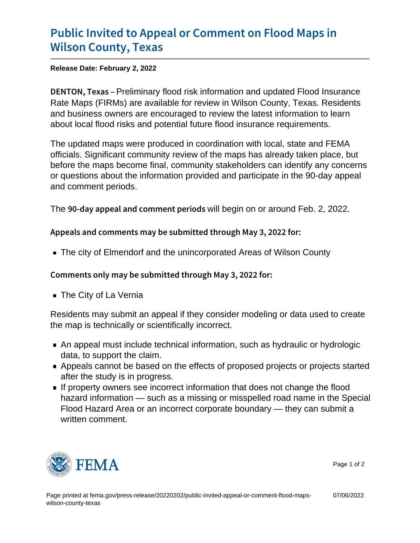## [Public Invited to Appeal or Comm](https://www.fema.gov/press-release/20220202/public-invited-appeal-or-comment-flood-maps-wilson-county-texas)ent on F [Wilson Count](https://www.fema.gov/press-release/20220202/public-invited-appeal-or-comment-flood-maps-wilson-county-texas)y, Texas

Release Date: February 2, 2022

DENTON, Peekinainary flood risk information and updated Flood Insurance Rate Maps (FIRMs) are available for review in Wilson County, Texas. Residents and business owners are encouraged to review the latest information to learn about local flood risks and potential future flood insurance requirements.

The updated maps were produced in coordination with local, state and FEMA officials. Significant community review of the maps has already taken place, but before the maps become final, community stakeholders can identify any concerns or questions about the information provided and participate in the 90-day appeal and comment periods.

The  $90$ -day appeal and comwith beggin on eorianoulusd Feb. 2, 2022.

Appeals and comments may be submitted through May 3, 20

The city of Elmendorf and the unincorporated Areas of Wilson County

Comments only may be submitted through May 3, 2022 for:

■ The City of La Vernia

Residents may submit an appeal if they consider modeling or data used to create the map is technically or scientifically incorrect.

- An appeal must include technical information, such as hydraulic or hydrologic data, to support the claim.
- Appeals cannot be based on the effects of proposed projects or projects started after the study is in progress.
- If property owners see incorrect information that does not change the flood hazard information — such as a missing or misspelled road name in the Special Flood Hazard Area or an incorrect corporate boundary — they can submit a written comment.



Page 1 of 2